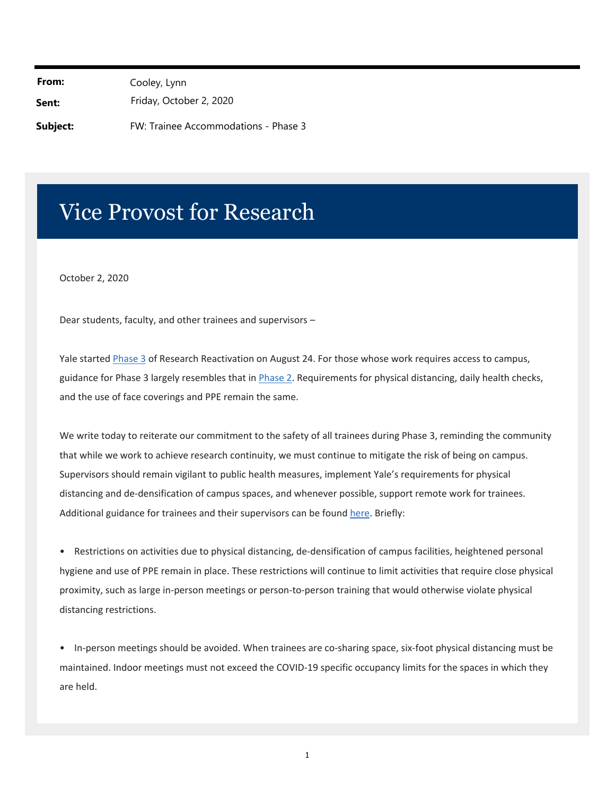From: Cooley, Lynn **Sent:** Friday, October 2, 2020 **Subject:** FW: Trainee Accommodations - Phase 3

## Vice Provost for Research

October 2, 2020

Dear students, faculty, and other trainees and supervisors –

Yale started Phase 3 of Research Reactivation on August 24. For those whose work requires access to campus, guidance for Phase 3 largely resembles that in [Phase 2.](https://research.yale.edu/phase-2-3-research-reactivation) Requirements for physical distancing, daily health checks, and the use of face coverings and PPE remain the same.

We write today to reiterate our commitment to the safety of all trainees during Phase 3, reminding the community that while we work to achieve research continuity, we must continue to mitigate the risk of being on campus. Supervisors should remain vigilant to public health measures, implement Yale's requirements for physical distancing and de‐densification of campus spaces, and whenever possible, support remote work for trainees. Additional guidance for trainees and their supervisors can be found here. Briefly:

• Restrictions on activities due to physical distancing, de‐densification of campus facilities, heightened personal hygiene and use of PPE remain in place. These restrictions will continue to limit activities that require close physical proximity, such as large in‐person meetings or person‐to‐person training that would otherwise violate physical distancing restrictions.

• In-person meetings should be avoided. When trainees are co-sharing space, six-foot physical distancing must be maintained. Indoor meetings must not exceed the COVID‐19 specific occupancy limits for the spaces in which they are held.

1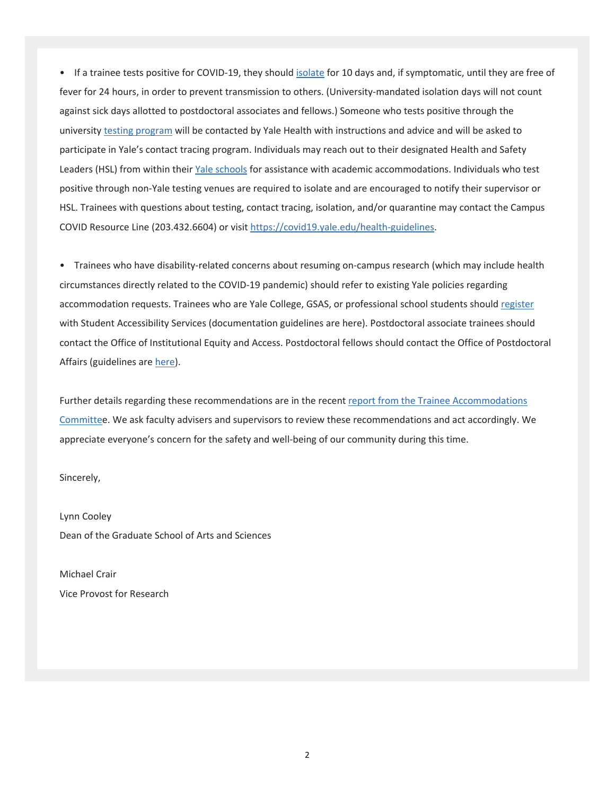• If a trainee tests positive for COVID-19, they should isolate for 10 days and, if symptomatic, until they are free of fever for 24 hours, in order to prevent transmission to others. (University‐mandated isolation days will not count against sick days allotted to postdoctoral associates and fellows.) Someone who tests positive through the university [testing program](https://covid19.yale.edu/screening) will be contacted by Yale Health with instructions and advice and will be asked to participate in Yale's contact tracing program. Individuals may reach out to their designated Health and Safety Leaders (HSL) from within their [Yale schools](https://covid19.yale.edu/health-and-safety-leaders) for assistance with academic accommodations. Individuals who test positive through non‐Yale testing venues are required to isolate and are encouraged to notify their supervisor or HSL. Trainees with questions about testing, contact tracing, isolation, and/or quarantine may contact the Campus COVID Resource Line (203.432.6604) or visit [htt](https://covid19.yale.edu/health-guidelines)[ps://covid19.yale.edu/health‐guidelines.](https://covid19.yale.edu/health%E2%80%90guidelines) 

• Trainees who have disability-related concerns about resuming on-campus research (which may include health circumstances directly related to the COVID‐19 pandemic) should refer to existing Yale policies regarding accommodation requests. Trainees who are Yale College, GSAS, or professional school students should [register](https://covid19.yale.edu/health-guidelines) with Student Accessibility Services (documentation guidelines are here). Postdoctoral associate trainees should contact the Office of Institutional Equity and Access. Postdoctoral fellows should contact the Office of Postdoctoral Affairs (guidelines are here).

Further details regarding these recommendations are in the recent [report from the Trainee Accommodations](https://research.yale.edu/trainee-accommodations-phase-3)  [Committee](https://research.yale.edu/trainee-accommodations-phase-3). We ask faculty advisers and supervisors to review these recommendations and act accordingly. We appreciate everyone's concern for the safety and well‐being of our community during this time.

Sincerely,

Lynn Cooley Dean of the Graduate School of Arts and Sciences

Michael Crair Vice Provost for Research